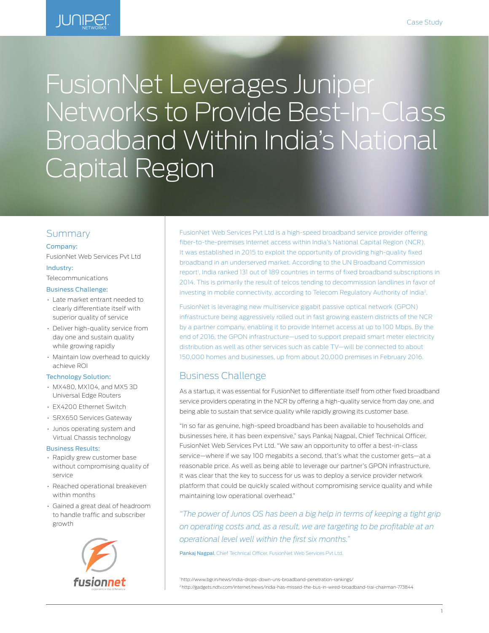

# FusionNet Leverages Juniper Networks to Provide Best-In-Class Broadband Within India's National Capital Region

## Summary

#### Company:

FusionNet Web Services Pvt Ltd

#### Industry:

Telecommunications

#### Business Challenge:

- Late market entrant needed to clearly differentiate itself with superior quality of service
- Deliver high-quality service from day one and sustain quality while growing rapidly
- Maintain low overhead to quickly achieve ROI

#### Technology Solution:

- MX480, MX104, and MX5 3D Universal Edge Routers
- EX4200 Ethernet Switch
- SRX650 Services Gateway
- Junos operating system and Virtual Chassis technology

#### Business Results:

- Rapidly grew customer base without compromising quality of service
- Reached operational breakeven within months
- Gained a great deal of headroom to handle traffic and subscriber growth



FusionNet Web Services Pvt Ltd is a high-speed broadband service provider offering fiber-to-the-premises Internet access within India's National Capital Region (NCR). It was established in 2015 to exploit the opportunity of providing high-quality fixed broadband in an underserved market. According to the UN Broadband Commission report<sup>1</sup>, India ranked 131 out of 189 countries in terms of fixed broadband subscriptions in 2014. This is primarily the result of telcos tending to decommission landlines in favor of investing in mobile connectivity, according to Telecom Regulatory Authority of India2.

FusionNet is leveraging new multiservice gigabit passive optical network (GPON) infrastructure being aggressively rolled out in fast growing eastern districts of the NCR by a partner company, enabling it to provide Internet access at up to 100 Mbps. By the end of 2016, the GPON infrastructure—used to support prepaid smart meter electricity distribution as well as other services such as cable TV—will be connected to about 150,000 homes and businesses, up from about 20,000 premises in February 2016.

## Business Challenge

As a startup, it was essential for FusionNet to differentiate itself from other fixed broadband service providers operating in the NCR by offering a high-quality service from day one, and being able to sustain that service quality while rapidly growing its customer base.

"In so far as genuine, high-speed broadband has been available to households and businesses here, it has been expensive," says Pankaj Nagpal, Chief Technical Officer, FusionNet Web Services Pvt Ltd. "We saw an opportunity to offer a best-in-class service—where if we say 100 megabits a second, that's what the customer gets—at a reasonable price. As well as being able to leverage our partner's GPON infrastructure, it was clear that the key to success for us was to deploy a service provider network platform that could be quickly scaled without compromising service quality and while maintaining low operational overhead."

*"The power of Junos OS has been a big help in terms of keeping a tight grip on operating costs and, as a result, we are targeting to be profitable at an operational level well within the first six months."* 

Pankaj Nagpal, Chief Technical Officer, FusionNet Web Services Pvt Ltd.

1 http://www.bgr.in/news/india-drops-down-uns-broadband-penetration-rankings/ 2 http://gadgets.ndtv.com/internet/news/india-has-missed-the-bus-in-wired-broadband-trai-chairman-773844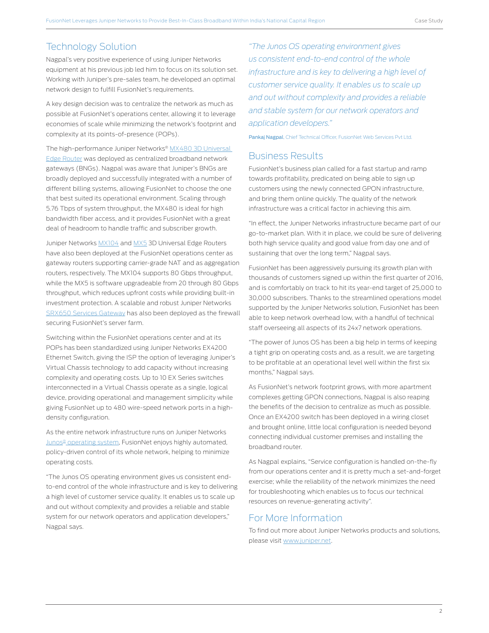# Technology Solution

Nagpal's very positive experience of using Juniper Networks equipment at his previous job led him to focus on its solution set. Working with Juniper's pre-sales team, he developed an optimal network design to fulfill FusionNet's requirements.

A key design decision was to centralize the network as much as possible at FusionNet's operations center, allowing it to leverage economies of scale while minimizing the network's footprint and complexity at its points-of-presence (POPs).

The high-performance Juniper Networks® [MX480 3D Universal](http://www.juniper.net/us/en/products-services/routing/mx-series/mx480/)  [Edge Router](http://www.juniper.net/us/en/products-services/routing/mx-series/mx480/) was deployed as centralized broadband network gateways (BNGs). Nagpal was aware that Juniper's BNGs are broadly deployed and successfully integrated with a number of different billing systems, allowing FusionNet to choose the one that best suited its operational environment. Scaling through 5.76 Tbps of system throughput, the MX480 is ideal for high bandwidth fiber access, and it provides FusionNet with a great deal of headroom to handle traffic and subscriber growth.

Juniper Networks [MX104](http://www.juniper.net/us/en/products-services/routing/mx-series/mx104/) and [MX5](http://www.juniper.net/us/en/products-services/routing/mx-series/mx5/) 3D Universal Edge Routers have also been deployed at the FusionNet operations center as gateway routers supporting carrier-grade NAT and as aggregation routers, respectively. The MX104 supports 80 Gbps throughput, while the MX5 is software upgradeable from 20 through 80 Gbps throughput, which reduces upfront costs while providing built-in investment protection. A scalable and robust Juniper Networks [SRX650 Services Gateway](http://www.juniper.net/us/en/products-services/security/srx-series/srx650/) has also been deployed as the firewall securing FusionNet's server farm.

Switching within the FusionNet operations center and at its POPs has been standardized using Juniper Networks EX4200 Ethernet Switch, giving the ISP the option of leveraging Juniper's Virtual Chassis technology to add capacity without increasing complexity and operating costs. Up to 10 EX Series switches interconnected in a Virtual Chassis operate as a single, logical device, providing operational and management simplicity while giving FusionNet up to 480 wire-speed network ports in a highdensity configuration.

As the entire network infrastructure runs on Juniper Networks [Junos® operating system,](http://www.juniper.net/us/en/products-services/nos/junos/) FusionNet enjoys highly automated, policy-driven control of its whole network, helping to minimize operating costs.

"The Junos OS operating environment gives us consistent endto-end control of the whole infrastructure and is key to delivering a high level of customer service quality. It enables us to scale up and out without complexity and provides a reliable and stable system for our network operators and application developers," Nagpal says.

*"The Junos OS operating environment gives us consistent end-to-end control of the whole infrastructure and is key to delivering a high level of customer service quality. It enables us to scale up and out without complexity and provides a reliable and stable system for our network operators and application developers."* 

Pankaj Nagpal, Chief Technical Officer, FusionNet Web Services Pvt Ltd.

## Business Results

FusionNet's business plan called for a fast startup and ramp towards profitability, predicated on being able to sign up customers using the newly connected GPON infrastructure, and bring them online quickly. The quality of the network infrastructure was a critical factor in achieving this aim.

"In effect, the Juniper Networks infrastructure became part of our go-to-market plan. With it in place, we could be sure of delivering both high service quality and good value from day one and of sustaining that over the long term," Nagpal says.

FusionNet has been aggressively pursuing its growth plan with thousands of customers signed up within the first quarter of 2016, and is comfortably on track to hit its year-end target of 25,000 to 30,000 subscribers. Thanks to the streamlined operations model supported by the Juniper Networks solution, FusionNet has been able to keep network overhead low, with a handful of technical staff overseeing all aspects of its 24x7 network operations.

"The power of Junos OS has been a big help in terms of keeping a tight grip on operating costs and, as a result, we are targeting to be profitable at an operational level well within the first six months," Nagpal says.

As FusionNet's network footprint grows, with more apartment complexes getting GPON connections, Nagpal is also reaping the benefits of the decision to centralize as much as possible. Once an EX4200 switch has been deployed in a wiring closet and brought online, little local configuration is needed beyond connecting individual customer premises and installing the broadband router.

As Nagpal explains, "Service configuration is handled on-the-fly from our operations center and it is pretty much a set-and-forget exercise; while the reliability of the network minimizes the need for troubleshooting which enables us to focus our technical resources on revenue-generating activity".

## For More Information

To find out more about Juniper Networks products and solutions, please visit [www.juniper.net.](http://www.juniper.net)